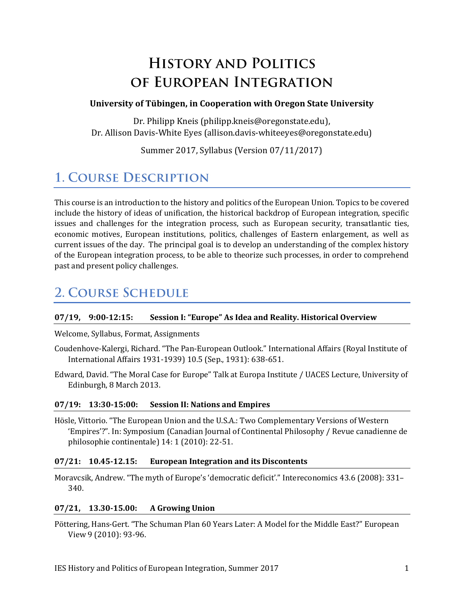# **HISTORY AND POLITICS** OF EUROPEAN INTEGRATION

#### **University of Tübingen, in Cooperation with Oregon State University**

Dr. Philipp Kneis (philipp.kneis@oregonstate.edu), Dr. Allison Davis-White Eyes (allison.davis-whiteeyes@oregonstate.edu)

Summer 2017, Syllabus (Version 07/11/2017)

## **1. COURSE DESCRIPTION**

This course is an introduction to the history and politics of the European Union. Topics to be covered include the history of ideas of unification, the historical backdrop of European integration, specific issues and challenges for the integration process, such as European security, transatlantic ties, economic motives, European institutions, politics, challenges of Eastern enlargement, as well as current issues of the day. The principal goal is to develop an understanding of the complex history of the European integration process, to be able to theorize such processes, in order to comprehend past and present policy challenges.

## **2. COURSE SCHEDULE**

#### **07/19, 9:00-12:15: Session I: "Europe" As Idea and Reality. Historical Overview**

#### Welcome, Syllabus, Format, Assignments

- Coudenhove-Kalergi, Richard. "The Pan-European Outlook." International Affairs (Royal Institute of International Affairs 1931-1939) 10.5 (Sep., 1931): 638-651.
- Edward, David. "The Moral Case for Europe" Talk at Europa Institute / UACES Lecture, University of Edinburgh, 8 March 2013.

#### **07/19: 13:30-15:00: Session II: Nations and Empires**

Hösle, Vittorio. "The European Union and the U.S.A.: Two Complementary Versions of Western 'Empires'?". In: Symposium (Canadian Journal of Continental Philosophy / Revue canadienne de philosophie continentale) 14: 1 (2010): 22-51.

#### **07/21: 10.45-12.15: European Integration and its Discontents**

Moravcsik, Andrew. "The myth of Europe's 'democratic deficit'." Intereconomics 43.6 (2008): 331– 340.

#### **07/21, 13.30-15.00: A Growing Union**

Pöttering, Hans-Gert. "The Schuman Plan 60 Years Later: A Model for the Middle East?" European View 9 (2010): 93-96.